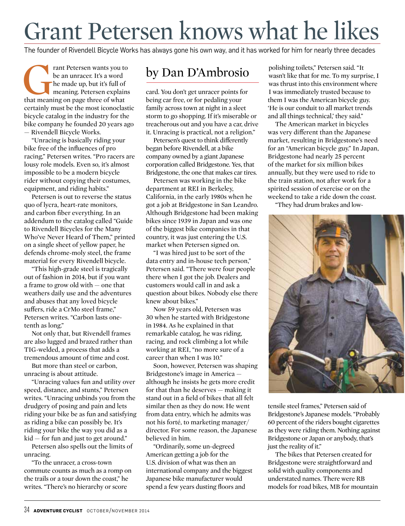## Grant Petersen knows what he likes

The founder of Rivendell Bicycle Works has always gone his own way, and it has worked for him for nearly three decades

Frant Petersen wants you to<br>
be an unracer. It's a word<br>
the made up, but it's full of<br>
meaning. Petersen explains<br>
that meaning on page three of what be an unracer. It's a word he made up, but it's full of meaning. Petersen explains certainly must be the most iconoclastic bicycle catalog in the industry for the bike company he founded 20 years ago — Rivendell Bicycle Works.

"Unracing is basically riding your bike free of the influences of pro racing," Petersen writes. "Pro racers are lousy role models. Even so, it's almost impossible to be a modern bicycle rider without copying their costumes, equipment, and riding habits."

Petersen is out to reverse the status quo of lycra, heart-rate monitors, and carbon fiber everything. In an addendum to the catalog called "Guide to Rivendell Bicycles for the Many Who've Never Heard of Them," printed on a single sheet of yellow paper, he defends chrome-moly steel, the frame material for every Rivendell bicycle.

"This high-grade steel is tragically out of fashion in 2014, but if you want a frame to grow old with — one that weathers daily use and the adventures and abuses that any loved bicycle suffers, ride a CrMo steel frame," Petersen writes. "Carbon lasts onetenth as long."

Not only that, but Rivendell frames are also lugged and brazed rather than TIG-welded, a process that adds a tremendous amount of time and cost.

But more than steel or carbon, unracing is about attitude.

"Unracing values fun and utility over speed, distance, and stunts," Petersen writes. "Unracing unbinds you from the drudgery of posing and pain and lets riding your bike be as fun and satisfying as riding a bike can possibly be. It's riding your bike the way you did as a kid — for fun and just to get around."

Petersen also spells out the limits of unracing.

"To the unracer, a cross-town commute counts as much as a romp on the trails or a tour down the coast," he writes. "There's no hierarchy or score

## by Dan D'Ambrosio

card. You don't get unracer points for being car free, or for pedaling your family across town at night in a sleet storm to go shopping. If it's miserable or treacherous out and you have a car, drive it. Unracing is practical, not a religion."

Petersen's quest to think differently began before Rivendell, at a bike company owned by a giant Japanese corporation called Bridgestone. Yes, that Bridgestone, the one that makes car tires.

Petersen was working in the bike department at REI in Berkeley, California, in the early 1980s when he got a job at Bridgestone in San Leandro. Although Bridgestone had been making bikes since 1939 in Japan and was one of the biggest bike companies in that country, it was just entering the U.S. market when Petersen signed on.

"I was hired just to be sort of the data entry and in-house tech person," Petersen said. "There were four people there when I got the job. Dealers and customers would call in and ask a question about bikes. Nobody else there knew about bikes."

Now 59 years old, Petersen was 30 when he started with Bridgestone in 1984. As he explained in that remarkable catalog, he was riding, racing, and rock climbing a lot while working at REI, "no more sure of a career than when I was 10."

Soon, however, Petersen was shaping Bridgestone's image in America although he insists he gets more credit for that than he deserves — making it stand out in a field of bikes that all felt similar then as they do now. He went from data entry, which he admits was not his forté, to marketing manager/ director. For some reason, the Japanese believed in him.

"Ordinarily, some un-degreed American getting a job for the U.S. division of what was then an international company and the biggest Japanese bike manufacturer would spend a few years dusting floors and

polishing toilets," Petersen said. "It wasn't like that for me. To my surprise, I was thrust into this environment where I was immediately trusted because to them I was the American bicycle guy. 'He is our conduit to all market trends and all things technical,' they said."

The American market in bicycles was very different than the Japanese market, resulting in Bridgestone's need for an "American bicycle guy." In Japan, Bridgestone had nearly 25 percent of the market for six million bikes annually, but they were used to ride to the train station, not after work for a spirited session of exercise or on the weekend to take a ride down the coast.

"They had drum brakes and low-



tensile steel frames," Petersen said of Bridgestone's Japanese models. "Probably 60 percent of the riders bought cigarettes as they were riding them. Nothing against Bridgestone or Japan or anybody, that's just the reality of it."

The bikes that Petersen created for Bridgestone were straightforward and solid with quality components and understated names. There were RB models for road bikes, MB for mountain